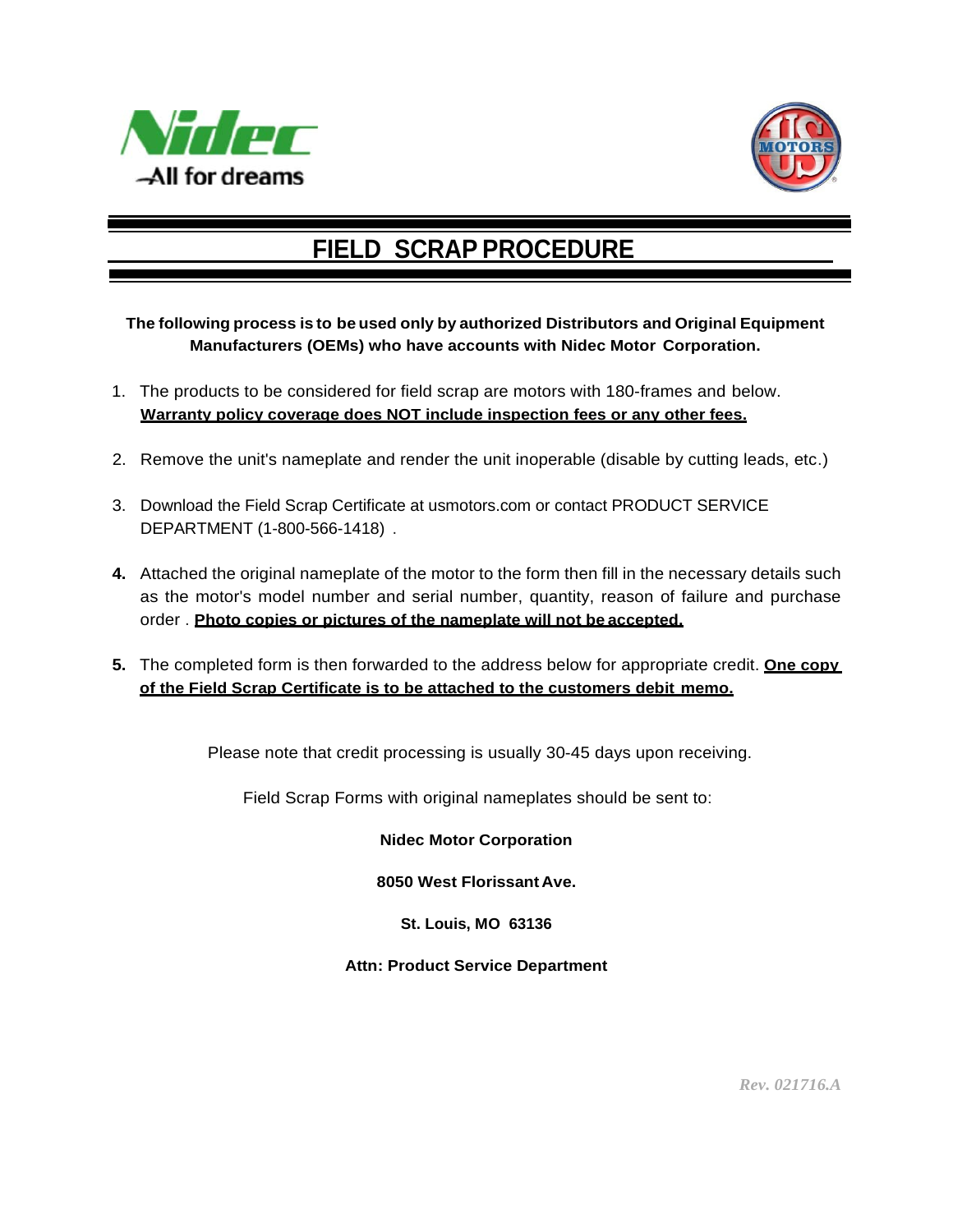



## **FIELD SCRAP PROCEDURE**

## **The following process is to be used only by authorized Distributors and Original Equipment Manufacturers (OEMs) who have accounts with Nidec Motor Corporation.**

- 1. The products to be considered for field scrap are motors with 180-frames and below. **Warranty policy coverage does NOT include inspection fees or any other fees.**
- 2. Remove the unit's nameplate and render the unit inoperable (disable by cutting leads, etc.)
- 3. Download the Field Scrap Certificate at usmotors.com or contact PRODUCT SERVICE DEPARTMENT (1-800-566-1418) .
- **4.** Attached the original nameplate of the motor to the form then fill in the necessary details such as the motor's model number and serial number, quantity, reason of failure and purchase order . **Photo copies or pictures of the nameplate will not be accepted.**
- **5.** The completed form is then forwarded to the address below for appropriate credit. **One copy of the Field Scrap Certificate is to be attached to the customers debit memo.**

Please note that credit processing is usually 30-45 days upon receiving.

Field Scrap Forms with original nameplates should be sent to:

**Nidec Motor Corporation** 

**8050 West FlorissantAve.**

**St. Louis, MO 63136**

**Attn: Product Service Department**

*Rev. 021716.A*